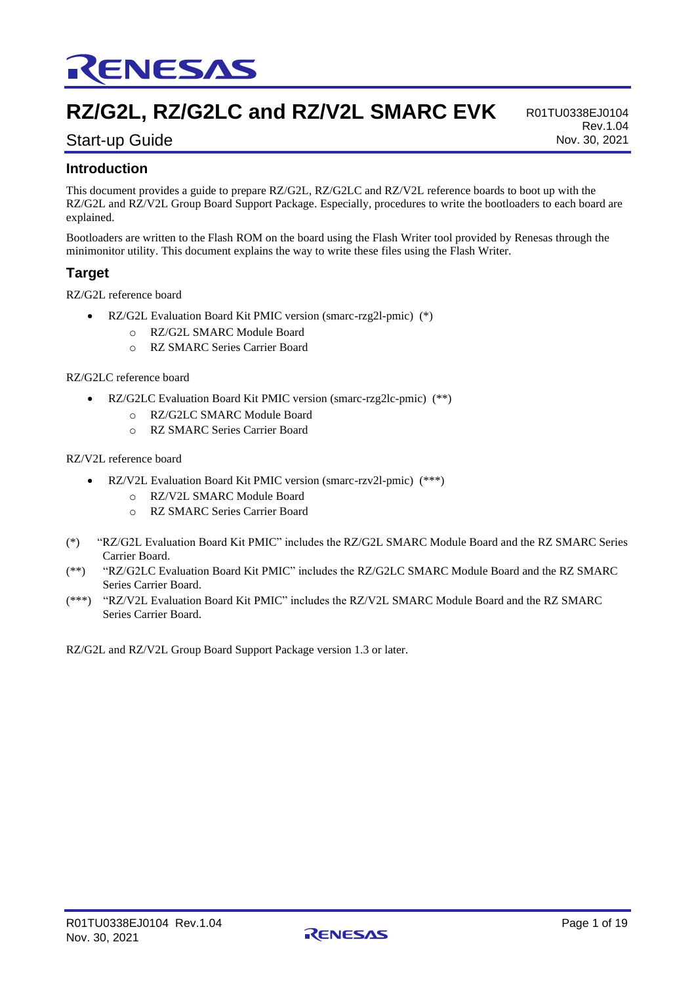

# **RZ/G2L, RZ/G2LC and RZ/V2L SMARC EVK**

R01TU0338EJ0104 Rev.1.04 Nov. 30, 2021

# Start-up Guide

### **Introduction**

This document provides a guide to prepare RZ/G2L, RZ/G2LC and RZ/V2L reference boards to boot up with the RZ/G2L and RZ/V2L Group Board Support Package. Especially, procedures to write the bootloaders to each board are explained.

Bootloaders are written to the Flash ROM on the board using the Flash Writer tool provided by Renesas through the minimonitor utility. This document explains the way to write these files using the Flash Writer.

### **Target**

RZ/G2L reference board

- RZ/G2L Evaluation Board Kit PMIC version (smarc-rzg2l-pmic) (\*)
	- o RZ/G2L SMARC Module Board
	- o RZ SMARC Series Carrier Board

#### RZ/G2LC reference board

- RZ/G2LC Evaluation Board Kit PMIC version (smarc-rzg2lc-pmic) (\*\*)
	- o RZ/G2LC SMARC Module Board
	- o RZ SMARC Series Carrier Board

#### RZ/V2L reference board

- RZ/V2L Evaluation Board Kit PMIC version (smarc-rzv2l-pmic) (\*\*\*)
	- o RZ/V2L SMARC Module Board
	- o RZ SMARC Series Carrier Board
- (\*) "RZ/G2L Evaluation Board Kit PMIC" includes the RZ/G2L SMARC Module Board and the RZ SMARC Series Carrier Board.
- (\*\*) "RZ/G2LC Evaluation Board Kit PMIC" includes the RZ/G2LC SMARC Module Board and the RZ SMARC Series Carrier Board.
- (\*\*\*) "RZ/V2L Evaluation Board Kit PMIC" includes the RZ/V2L SMARC Module Board and the RZ SMARC Series Carrier Board.

RZ/G2L and RZ/V2L Group Board Support Package version 1.3 or later.

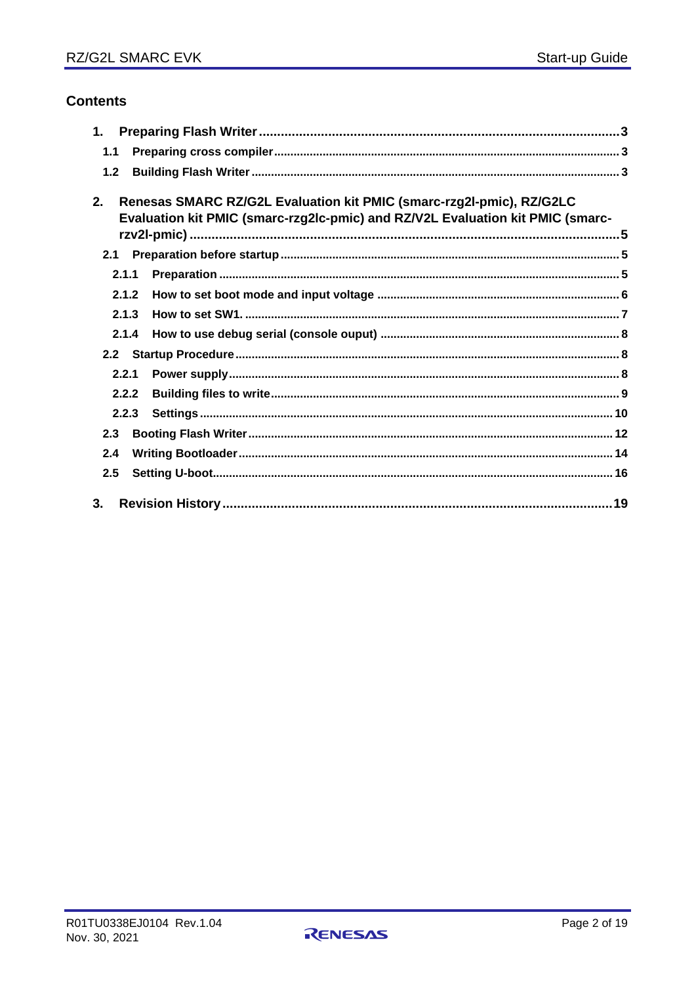# **Contents**

| 1.             |       |                                                                                                                                                        |  |
|----------------|-------|--------------------------------------------------------------------------------------------------------------------------------------------------------|--|
| 1.1            |       |                                                                                                                                                        |  |
| 1.2            |       |                                                                                                                                                        |  |
| 2 <sub>1</sub> |       | Renesas SMARC RZ/G2L Evaluation kit PMIC (smarc-rzg2l-pmic), RZ/G2LC<br>Evaluation kit PMIC (smarc-rzg2lc-pmic) and RZ/V2L Evaluation kit PMIC (smarc- |  |
| 2.1            |       |                                                                                                                                                        |  |
|                | 2.1.1 |                                                                                                                                                        |  |
|                | 2.1.2 |                                                                                                                                                        |  |
|                | 2.1.3 |                                                                                                                                                        |  |
|                | 2.1.4 |                                                                                                                                                        |  |
| 2.2            |       |                                                                                                                                                        |  |
|                | 2.2.1 |                                                                                                                                                        |  |
|                | 2.2.2 |                                                                                                                                                        |  |
|                | 2.2.3 |                                                                                                                                                        |  |
| 2.3            |       |                                                                                                                                                        |  |
| 2.4            |       |                                                                                                                                                        |  |
| 2.5            |       |                                                                                                                                                        |  |
| 3.             |       |                                                                                                                                                        |  |

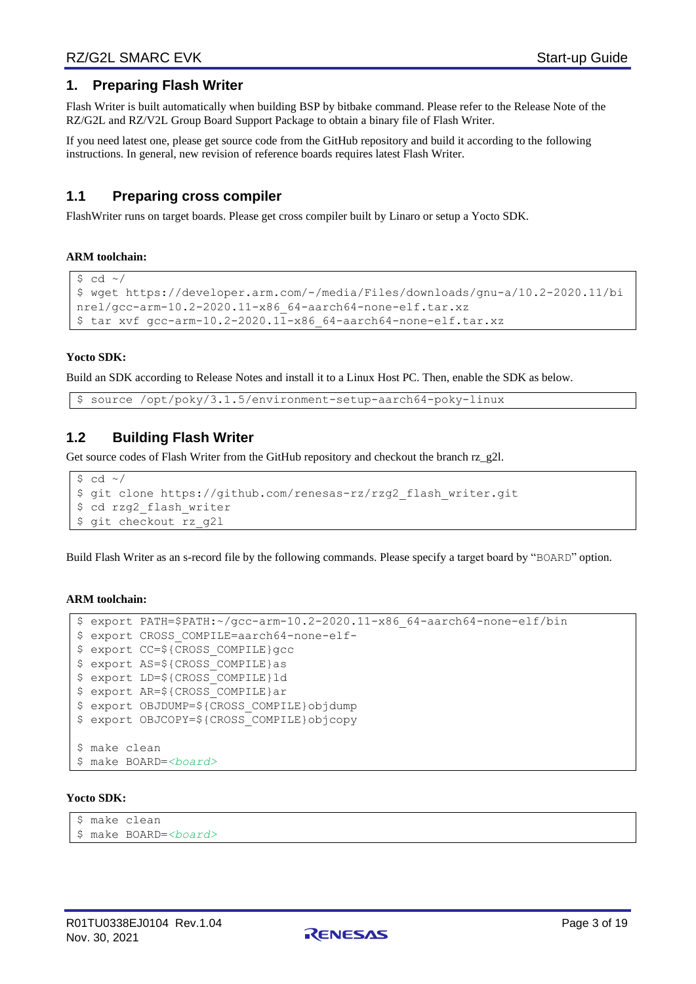### <span id="page-2-0"></span>**1. Preparing Flash Writer**

Flash Writer is built automatically when building BSP by bitbake command. Please refer to the Release Note of the RZ/G2L and RZ/V2L Group Board Support Package to obtain a binary file of Flash Writer.

If you need latest one, please get source code from the GitHub repository and build it according to the following instructions. In general, new revision of reference boards requires latest Flash Writer.

### <span id="page-2-1"></span>**1.1 Preparing cross compiler**

FlashWriter runs on target boards. Please get cross compiler built by Linaro or setup a Yocto SDK.

#### **ARM toolchain:**

```
$ cd \sim/
$ wget https://developer.arm.com/-/media/Files/downloads/gnu-a/10.2-2020.11/bi
nrel/gcc-arm-10.2-2020.11-x86_64-aarch64-none-elf.tar.xz
$ tar xvf gcc-arm-10.2-2020.11-x86 64-aarch64-none-elf.tar.xz
```
#### **Yocto SDK:**

Build an SDK according to Release Notes and install it to a Linux Host PC. Then, enable the SDK as below.

\$ source /opt/poky/3.1.5/environment-setup-aarch64-poky-linux

### <span id="page-2-2"></span>**1.2 Building Flash Writer**

Get source codes of Flash Writer from the GitHub repository and checkout the branch rz\_g2l.

```
$ cd ~ ~ ^\sim/$ git clone https://github.com/renesas-rz/rzg2_flash_writer.git
$ cd rzg2 flash writer
$ git checkout rz_g2l
```
Build Flash Writer as an s-record file by the following commands. Please specify a target board by "BOARD" option.

#### **ARM toolchain:**

```
$ export PATH=$PATH:~/gcc-arm-10.2-2020.11-x86_64-aarch64-none-elf/bin
$ export CROSS_COMPILE=aarch64-none-elf-
$ export CC=${CROSS_COMPILE}gcc 
$ export AS=${CROSS_COMPILE}as
$ export LD=${CROSS_COMPILE}ld 
$ export AR=${CROSS_COMPILE}ar 
$ export OBJDUMP=${CROSS_COMPILE}objdump 
$ export OBJCOPY=${CROSS_COMPILE}objcopy
$ make clean
$ make BOARD=<board>
```
#### **Yocto SDK:**

```
$ make clean
```
\$ make BOARD=*<board>*

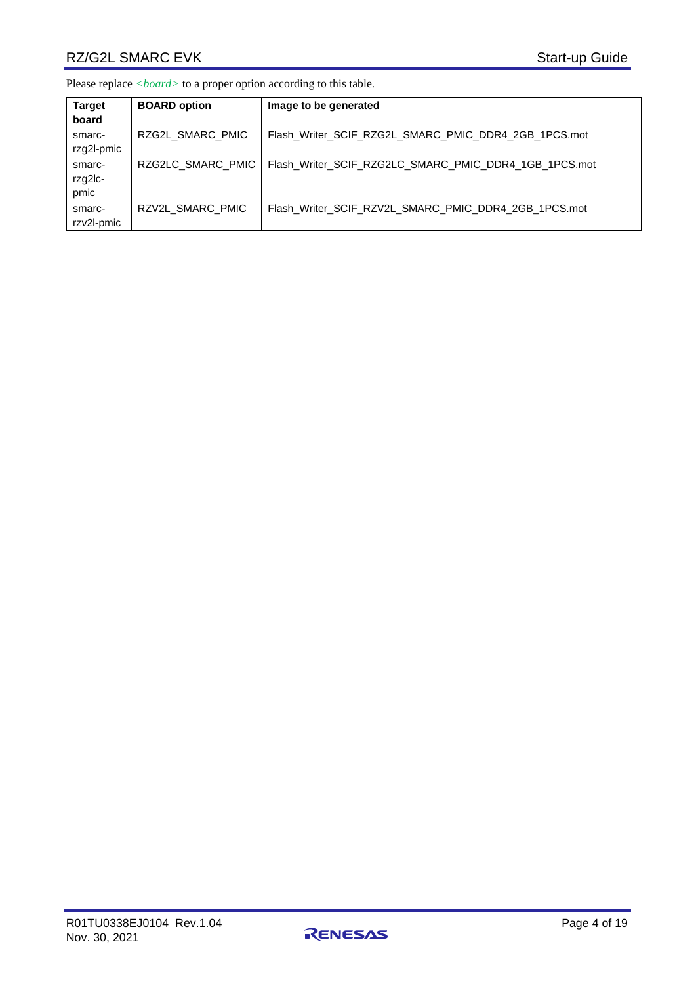## RZ/G2L SMARC EVK Start-up Guide

Please replace *<board>* to a proper option according to this table.

| <b>Target</b><br>board    | <b>BOARD option</b> | Image to be generated                                 |
|---------------------------|---------------------|-------------------------------------------------------|
| smarc-<br>rzg2l-pmic      | RZG2L SMARC PMIC    | Flash Writer SCIF RZG2L SMARC PMIC DDR4 2GB 1PCS.mot  |
| smarc-<br>rzg2lc-<br>pmic | RZG2LC SMARC PMIC   | Flash Writer SCIF RZG2LC SMARC PMIC DDR4 1GB 1PCS.mot |
| smarc-<br>rzv2l-pmic      | RZV2L SMARC PMIC    | Flash Writer SCIF RZV2L SMARC PMIC DDR4 2GB 1PCS.mot  |

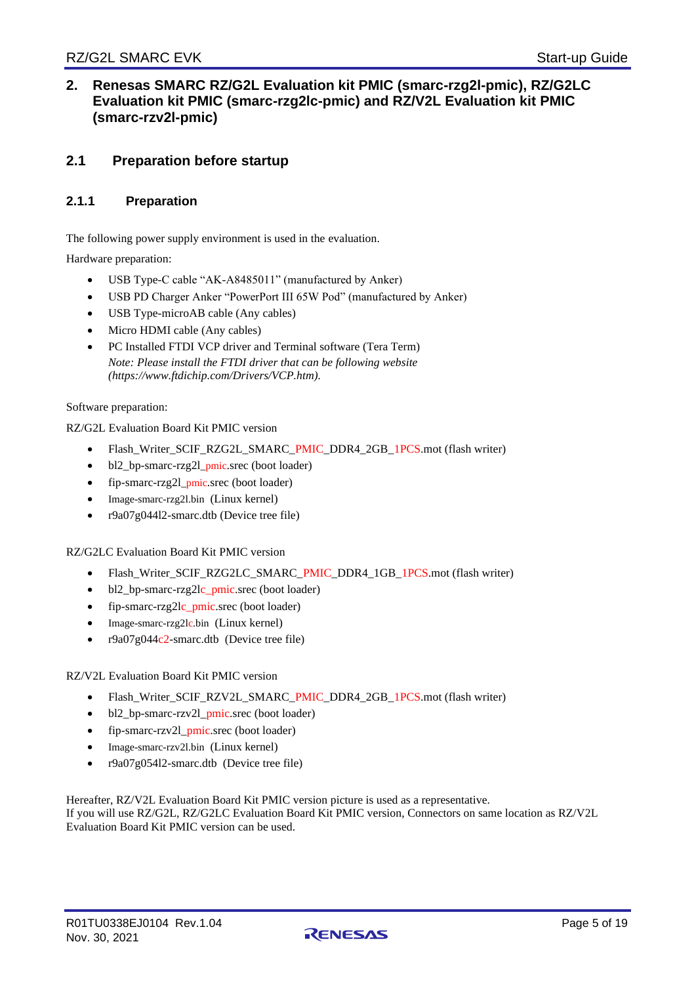### <span id="page-4-0"></span>**2. Renesas SMARC RZ/G2L Evaluation kit PMIC (smarc-rzg2l-pmic), RZ/G2LC Evaluation kit PMIC (smarc-rzg2lc-pmic) and RZ/V2L Evaluation kit PMIC (smarc-rzv2l-pmic)**

### <span id="page-4-1"></span>**2.1 Preparation before startup**

### <span id="page-4-2"></span>**2.1.1 Preparation**

The following power supply environment is used in the evaluation.

Hardware preparation:

- USB Type-C cable "AK-A8485011" (manufactured by Anker)
- USB PD Charger Anker "PowerPort III 65W Pod" (manufactured by Anker)
- USB Type-microAB cable (Any cables)
- Micro HDMI cable (Any cables)
- PC Installed FTDI VCP driver and Terminal software (Tera Term) *Note: Please install the FTDI driver that can be following website (https://www.ftdichip.com/Drivers/VCP.htm).*

#### Software preparation:

RZ/G2L Evaluation Board Kit PMIC version

- Flash\_Writer\_SCIF\_RZG2L\_SMARC\_PMIC\_DDR4\_2GB\_1PCS.mot (flash writer)
- bl2\_bp-smarc-rzg2l\_pmic.srec (boot loader)
- fip-smarc-rzg2l\_pmic.srec (boot loader)
- Image-smarc-rzg2l.bin (Linux kernel)
- r9a07g04412-smarc.dtb (Device tree file)

RZ/G2LC Evaluation Board Kit PMIC version

- Flash\_Writer\_SCIF\_RZG2LC\_SMARC\_PMIC\_DDR4\_1GB\_1PCS.mot (flash writer)
- bl2\_bp-smarc-rzg2lc\_pmic.srec (boot loader)
- fip-smarc-rzg2lc\_pmic.srec (boot loader)
- Image-smarc-rzg2lc.bin (Linux kernel)
- r9a07g044c2-smarc.dtb (Device tree file)

#### RZ/V2L Evaluation Board Kit PMIC version

- Flash\_Writer\_SCIF\_RZV2L\_SMARC\_PMIC\_DDR4\_2GB\_1PCS.mot (flash writer)
- bl2\_bp-smarc-rzv2l\_pmic.srec (boot loader)
- fip-smarc-rzv2l\_pmic.srec (boot loader)
- Image-smarc-rzv2l.bin (Linux kernel)
- r9a07g054l2-smarc.dtb (Device tree file)

Hereafter, RZ/V2L Evaluation Board Kit PMIC version picture is used as a representative. If you will use RZ/G2L, RZ/G2LC Evaluation Board Kit PMIC version, Connectors on same location as RZ/V2L Evaluation Board Kit PMIC version can be used.

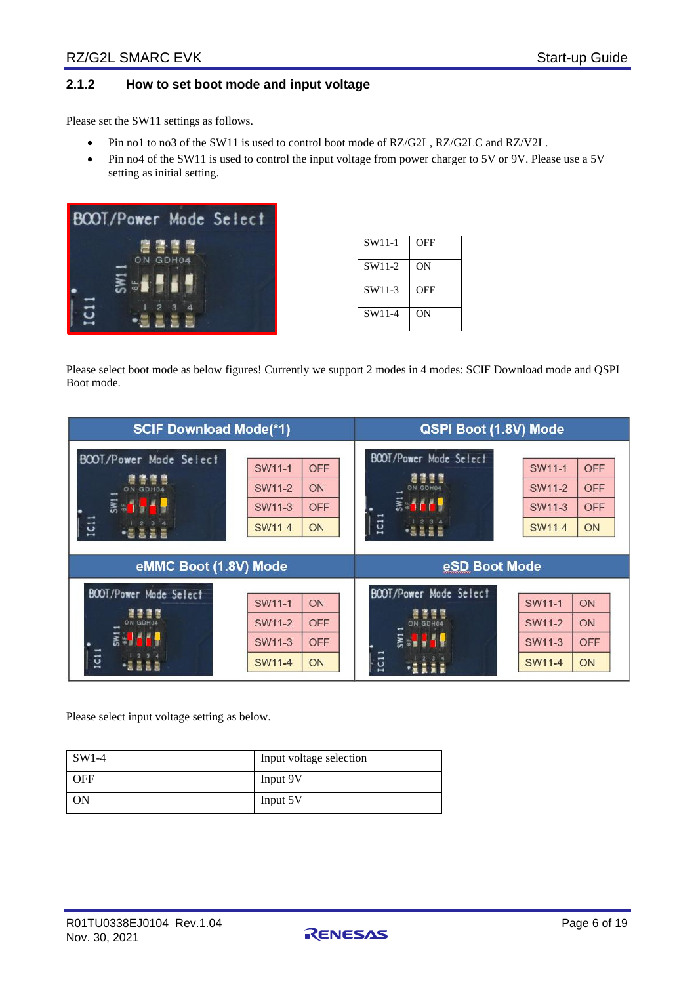### <span id="page-5-0"></span>**2.1.2 How to set boot mode and input voltage**

Please set the SW11 settings as follows.

- Pin no1 to no3 of the SW11 is used to control boot mode of RZ/G2L, RZ/G2LC and RZ/V2L.
- Pin no4 of the SW11 is used to control the input voltage from power charger to 5V or 9V. Please use a 5V setting as initial setting.



| SW11-1 | OFF |
|--------|-----|
| SW11-2 | OΝ  |
| SW11-3 | OFF |
| SW11-4 | OΝ  |

Please select boot mode as below figures! Currently we support 2 modes in 4 modes: SCIF Download mode and QSPI Boot mode.

| <b>SCIF Download Mode(*1)</b>                                                       |                                                                                            | QSPI Boot (1.8V) Mode                                                                                                                                                     |  |  |  |
|-------------------------------------------------------------------------------------|--------------------------------------------------------------------------------------------|---------------------------------------------------------------------------------------------------------------------------------------------------------------------------|--|--|--|
| BOOT/Power Mode Select<br>ON<br><b>GDH04</b><br>$\overline{\mathbf{g}}$ and<br>IC11 | SW11-1<br><b>OFF</b><br><b>SW11-2</b><br>ON<br><b>OFF</b><br>SW11-3<br><b>SW11-4</b><br>ON | BOOT/Power Mode Select<br>SW11-1<br><b>OFF</b><br>唐書書館<br><b>OFF</b><br>SW11-2<br>ON GDH04<br><b>Early</b><br><b>OFF</b><br>SW11-3<br>IC1<br><b>SW11-4</b><br>ON<br>-8228 |  |  |  |
|                                                                                     |                                                                                            | eSD Boot Mode                                                                                                                                                             |  |  |  |
| eMMC Boot (1.8V) Mode                                                               |                                                                                            |                                                                                                                                                                           |  |  |  |

Please select input voltage setting as below.

| $SW1-4$    | Input voltage selection |
|------------|-------------------------|
| <b>OFF</b> | Input 9V                |
| <b>ON</b>  | Input 5V                |

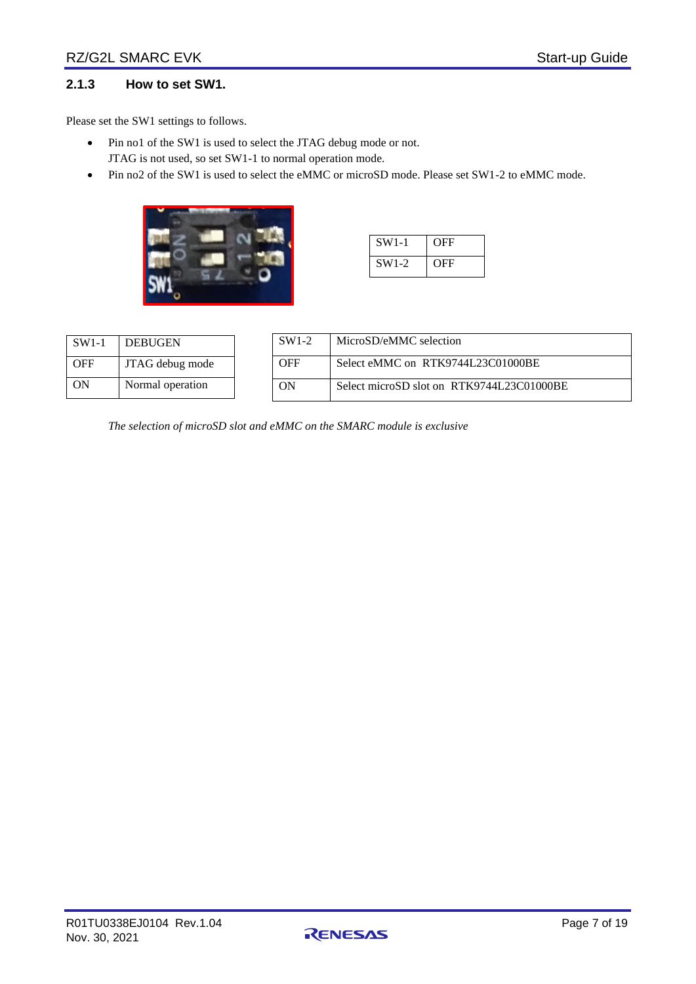### <span id="page-6-0"></span>**2.1.3 How to set SW1.**

Please set the SW1 settings to follows.

- Pin no1 of the SW1 is used to select the JTAG debug mode or not. JTAG is not used, so set SW1-1 to normal operation mode.
- Pin no2 of the SW1 is used to select the eMMC or microSD mode. Please set SW1-2 to eMMC mode.



| $SW1-1$ | OFF |
|---------|-----|
| $SW1-2$ | OFF |

| $SW1-1$    | <b>DEBUGEN</b>   |
|------------|------------------|
| <b>OFF</b> | JTAG debug mode  |
| ON         | Normal operation |

| $SW1-2$ | MicroSD/eMMC selection                    |
|---------|-------------------------------------------|
| OFF     | Select eMMC on RTK9744L23C01000BE         |
| OΝ      | Select microSD slot on RTK9744L23C01000BE |

*The selection of microSD slot and eMMC on the SMARC module is exclusive*

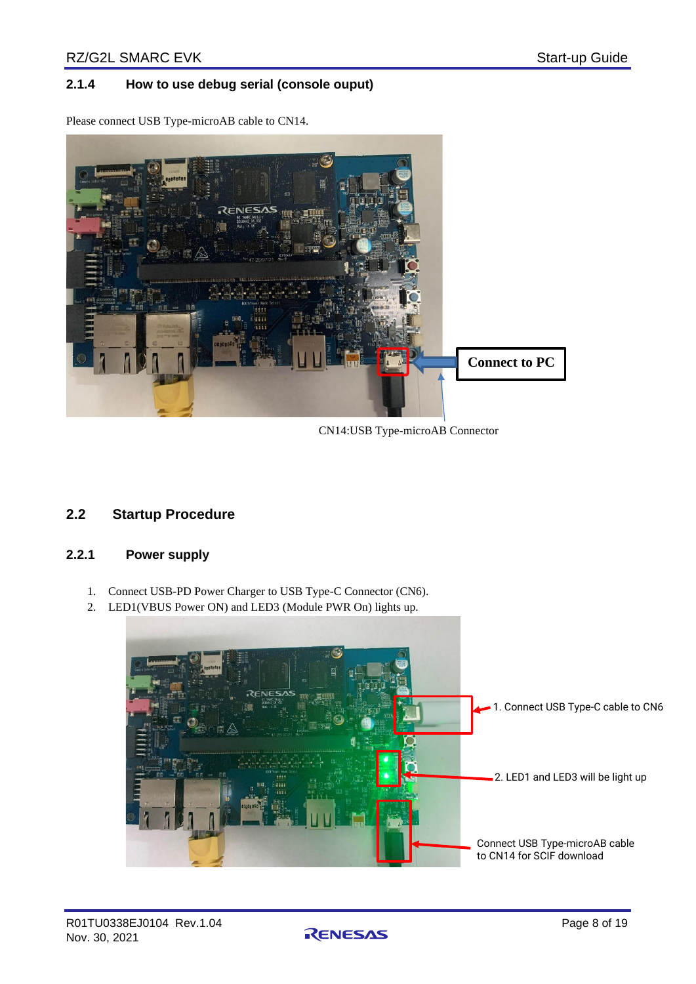### <span id="page-7-0"></span>**2.1.4 How to use debug serial (console ouput)**

Please connect USB Type-microAB cable to CN14.



CN14:USB Type-microAB Connector

### <span id="page-7-1"></span>**2.2 Startup Procedure**

### <span id="page-7-2"></span>**2.2.1 Power supply**

- 1. Connect USB-PD Power Charger to USB Type-C Connector (CN6).
- 2. LED1(VBUS Power ON) and LED3 (Module PWR On) lights up.



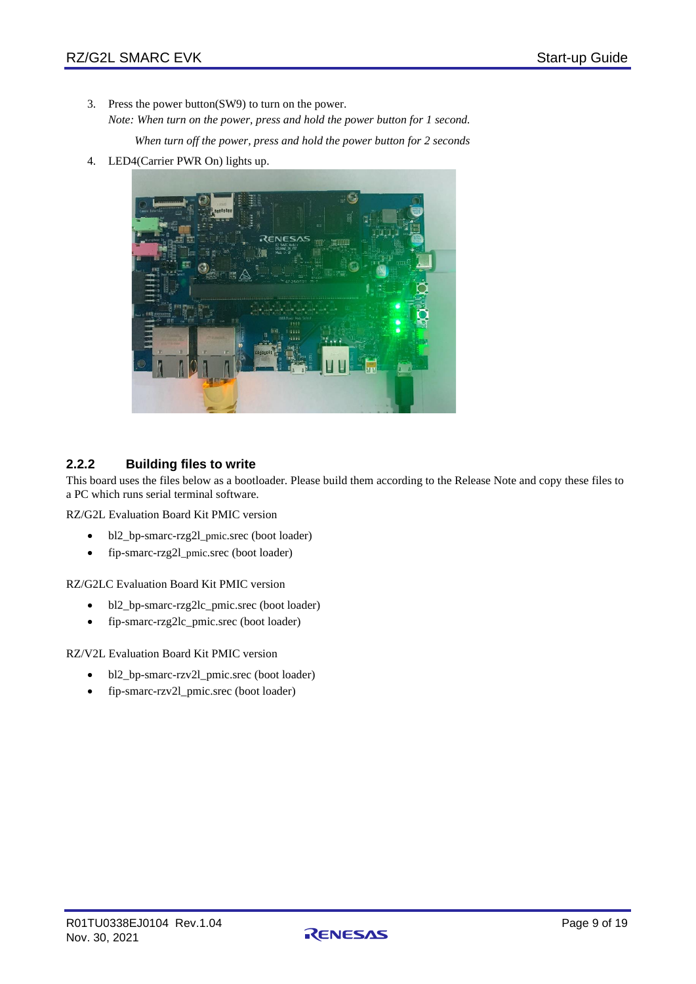3. Press the power button(SW9) to turn on the power. *Note: When turn on the power, press and hold the power button for 1 second.*

*When turn off the power, press and hold the power button for 2 seconds*

4. LED4(Carrier PWR On) lights up.



### <span id="page-8-0"></span>**2.2.2 Building files to write**

This board uses the files below as a bootloader. Please build them according to the Release Note and copy these files to a PC which runs serial terminal software.

RZ/G2L Evaluation Board Kit PMIC version

- bl2\_bp-smarc-rzg2l\_pmic.srec (boot loader)
- fip-smarc-rzg2l\_pmic.srec (boot loader)

RZ/G2LC Evaluation Board Kit PMIC version

- bl2\_bp-smarc-rzg2lc\_pmic.srec (boot loader)
- fip-smarc-rzg2lc\_pmic.srec (boot loader)

RZ/V2L Evaluation Board Kit PMIC version

- bl2\_bp-smarc-rzv2l\_pmic.srec (boot loader)
- fip-smarc-rzv2l\_pmic.srec (boot loader)

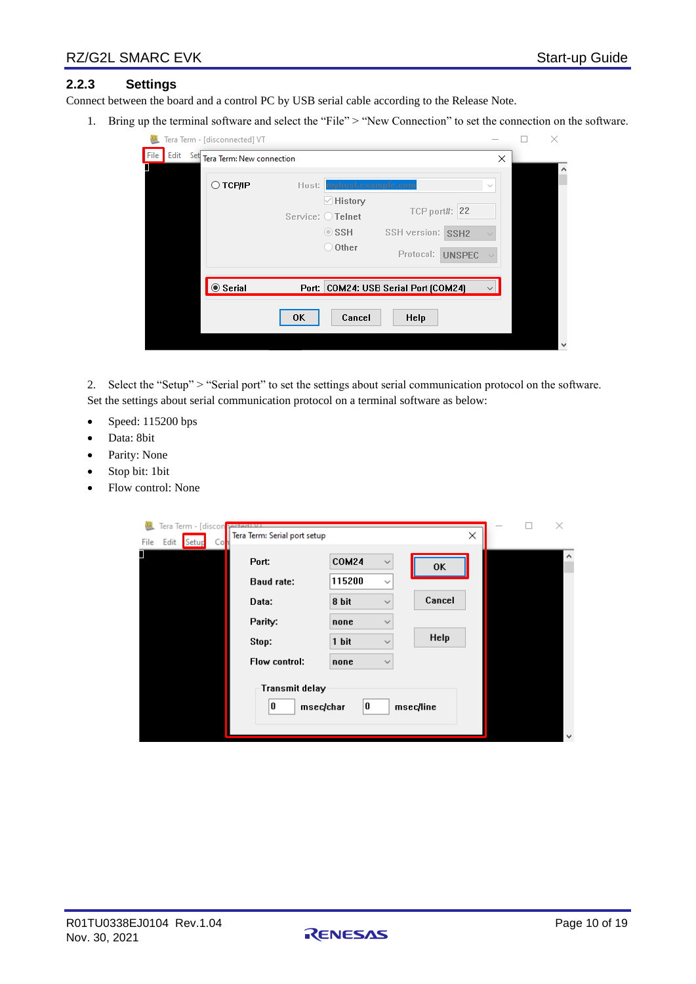### <span id="page-9-0"></span>**2.2.3 Settings**

Connect between the board and a control PC by USB serial cable according to the Release Note.

1. Bring up the terminal software and select the "File" > "New Connection" to set the connection on the software.

|                     | Tera Term - [disconnected] VT |                                                                                                                                                                        |              | × |
|---------------------|-------------------------------|------------------------------------------------------------------------------------------------------------------------------------------------------------------------|--------------|---|
| Edit<br>File<br>Set | Tera Term: New connection     |                                                                                                                                                                        | ×            |   |
|                     | ○ ТСР∕ІР                      | Host: myhost.example.com<br>$\vee$ History<br>TCP port#: 22<br>Service: O Telnet<br>$\circ$ ssh<br>SSH version: SSH2<br>$\bigcirc$ Other<br>Protocol:<br><b>UNSPEC</b> | $\sim$       |   |
|                     | $@$ Serial                    | Port: COM24: USB Serial Port [COM24]                                                                                                                                   | $\checkmark$ |   |
|                     | <b>OK</b>                     | Cancel<br><b>Help</b>                                                                                                                                                  |              |   |
|                     |                               |                                                                                                                                                                        |              |   |

2. Select the "Setup" > "Serial port" to set the settings about serial communication protocol on the software. Set the settings about serial communication protocol on a terminal software as below:

- Speed: 115200 bps
- Data: 8bit
- Parity: None
- Stop bit: 1 bit
- Flow control: None

| Tera Term - [discon <mark> pected WI</mark><br>Tera Term: Serial port setup<br>File<br>Edit<br>Col<br>Setup |                |              | ×         |  | $\times$     |
|-------------------------------------------------------------------------------------------------------------|----------------|--------------|-----------|--|--------------|
| Π<br>Port:                                                                                                  | <b>COM24</b>   | $\checkmark$ | OK        |  | $\wedge$     |
| <b>Baud rate:</b>                                                                                           | 115200         | $\checkmark$ |           |  |              |
| Data:                                                                                                       | 8 bit          | $\checkmark$ | Cancel    |  |              |
| Parity:                                                                                                     | none           | $\checkmark$ |           |  |              |
| Stop:                                                                                                       | 1 bit          | $\checkmark$ | Help      |  |              |
| Flow control:                                                                                               | none           | $\checkmark$ |           |  |              |
| Transmit delay<br>0                                                                                         | 0<br>msec/char |              | msec/line |  |              |
|                                                                                                             |                |              |           |  | $\checkmark$ |

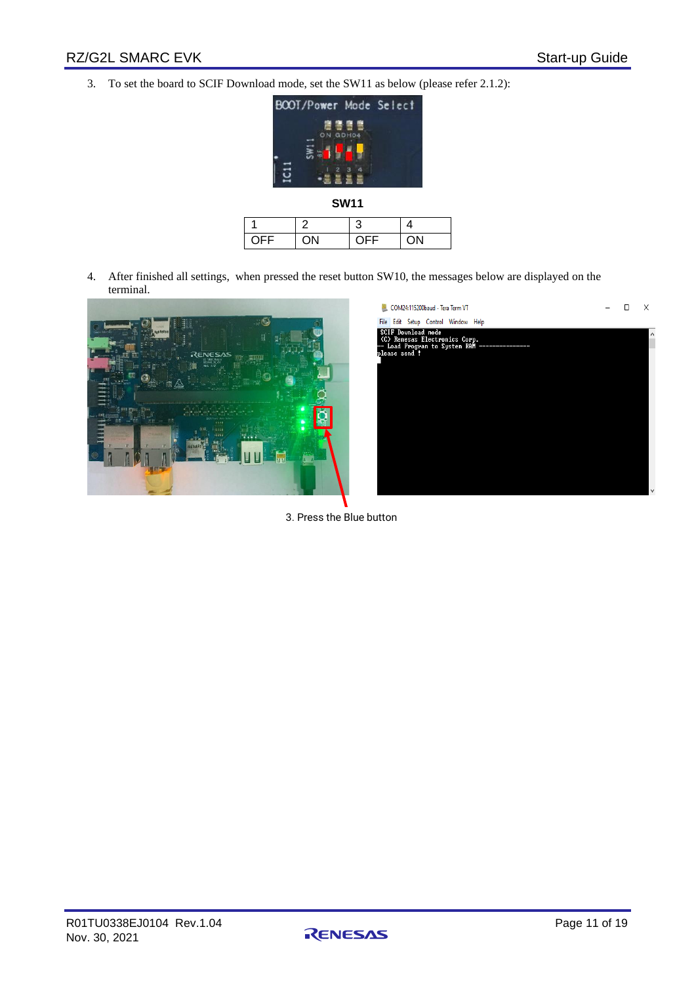3. To set the board to SCIF Download mode, set the SW11 as below (please refer 2.1.2):



| <b>OFF</b> | ON | ∩⊏⊏ | וחר |
|------------|----|-----|-----|

4. After finished all settings, when pressed the reset button SW10, the messages below are displayed on the terminal.



| COM24:115200baud - Tera Term VT                                                                                           |  | X            |
|---------------------------------------------------------------------------------------------------------------------------|--|--------------|
| File Edit Setup Control Window Help                                                                                       |  |              |
| <b>SCIF Download mode</b><br>(C) Renesas Electronics Corp.<br>-- Load Program to System RAM ------------<br>please send ! |  |              |
|                                                                                                                           |  |              |
|                                                                                                                           |  |              |
|                                                                                                                           |  |              |
|                                                                                                                           |  |              |
|                                                                                                                           |  | $\checkmark$ |

3. Press the Blue button

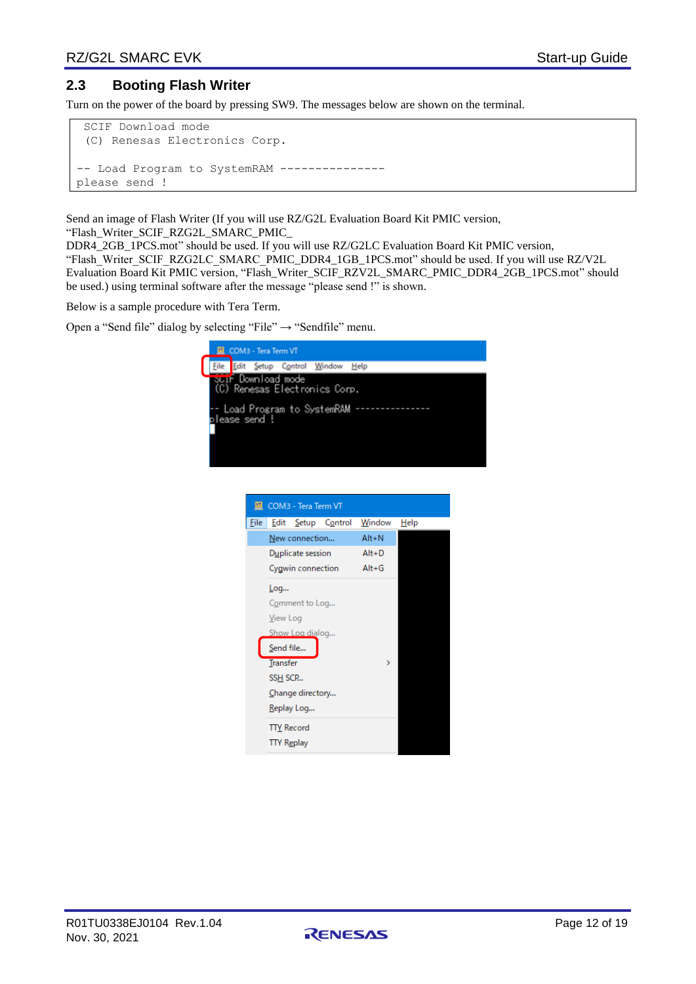### <span id="page-11-0"></span>**2.3 Booting Flash Writer**

Turn on the power of the board by pressing SW9. The messages below are shown on the terminal.

```
SCIF Download mode 
 (C) Renesas Electronics Corp.
-- Load Program to SystemRAM --------------
please send !
```
Send an image of Flash Writer (If you will use RZ/G2L Evaluation Board Kit PMIC version, "Flash\_Writer\_SCIF\_RZG2L\_SMARC\_PMIC\_

DDR4\_2GB\_1PCS.mot" should be used. If you will use RZ/G2LC Evaluation Board Kit PMIC version, "Flash\_Writer\_SCIF\_RZG2LC\_SMARC\_PMIC\_DDR4\_1GB\_1PCS.mot" should be used. If you will use RZ/V2L Evaluation Board Kit PMIC version, "Flash\_Writer\_SCIF\_RZV2L\_SMARC\_PMIC\_DDR4\_2GB\_1PCS.mot" should be used.) using terminal software after the message "please send !" is shown.

Below is a sample procedure with Tera Term.

Open a "Send file" dialog by selecting "File"  $\rightarrow$  "Sendfile" menu.



|      | <b>LE</b> COM3 - Tera Term VT |                    |               |      |
|------|-------------------------------|--------------------|---------------|------|
| File |                               | Edit Setup Control | Window        | Help |
|      | New connection                |                    | $Alt + N$     |      |
|      | Duplicate session             |                    | $Alt+D$       |      |
|      | Cygwin connection             |                    | $Alt+G$       |      |
|      | Log                           |                    |               |      |
|      | Comment to Log                |                    |               |      |
|      | View Log                      |                    |               |      |
|      | Show Log dialog               |                    |               |      |
|      | Send file                     |                    |               |      |
|      | <b>Transfer</b>               |                    | $\rightarrow$ |      |
|      | SSH SCP                       |                    |               |      |
|      | Change directory              |                    |               |      |
|      | Replay Log                    |                    |               |      |
|      | <b>TTY Record</b>             |                    |               |      |
|      | <b>TTY Replay</b>             |                    |               |      |

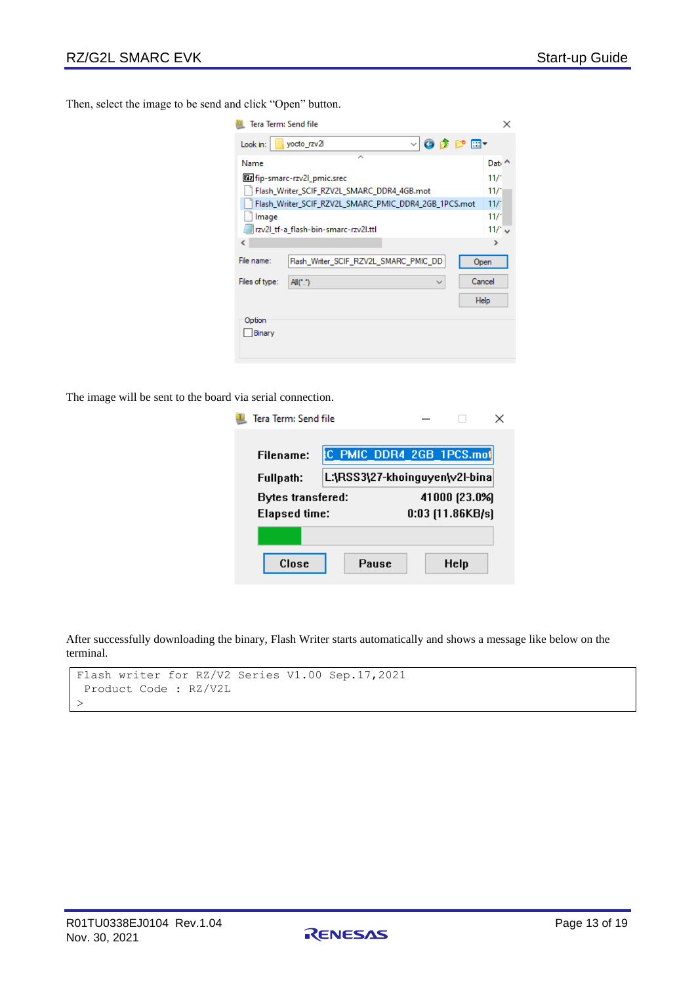Then, select the image to be send and click "Open" button.

| Tera Term: Send file<br>× |                                                                  |               |  |  |  |
|---------------------------|------------------------------------------------------------------|---------------|--|--|--|
| Look in:                  | $\vee$ 6 $\beta$ $\mathbb{P}$ $\mathbb{H}$ $\vee$<br>yocto_rzv2l |               |  |  |  |
| Name                      | ́                                                                | Dati $\sim$   |  |  |  |
|                           | [22 fip-smarc-rzv2l_pmic.srec                                    | 11/1          |  |  |  |
|                           | Flash_Writer_SCIF_RZV2L_SMARC_DDR4_4GB.mot                       | 11/1          |  |  |  |
|                           | Flash_Writer_SCIF_RZV2L_SMARC_PMIC_DDR4_2GB_1PCS.mot             | 11/1          |  |  |  |
| Image                     |                                                                  | 11/1          |  |  |  |
|                           | rzv2l_tf-a_flash-bin-smarc-rzv2l.ttl                             | $11/1$ $\vee$ |  |  |  |
| ∢                         |                                                                  | ъ             |  |  |  |
| File name:                | Flash Writer SCIF RZV2L SMARC PMIC DD<br>Open                    |               |  |  |  |
| Files of type:            | Cancel<br>All("")<br>$\checkmark$                                |               |  |  |  |
|                           | Help                                                             |               |  |  |  |
| Option<br>Binary          |                                                                  |               |  |  |  |

The image will be sent to the board via serial connection.

| Tera Term: Send file |  |               |                                |  |
|----------------------|--|---------------|--------------------------------|--|
|                      |  |               |                                |  |
| Filename:            |  |               | C PMIC DDR4 2GB 1PCS.mot       |  |
| Fullpath:            |  |               | L:\RSS3\27-khoinguyen\v2l-bina |  |
| Bytes transfered:    |  | 41000 (23.0%) |                                |  |
| <b>Elapsed time:</b> |  |               | $0:03$ [11.86KB/s]             |  |
|                      |  |               |                                |  |
| Close                |  | Pause         | Help                           |  |

After successfully downloading the binary, Flash Writer starts automatically and shows a message like below on the terminal.

```
Flash writer for RZ/V2 Series V1.00 Sep.17,2021
Product Code : RZ/V2L
\,>
```
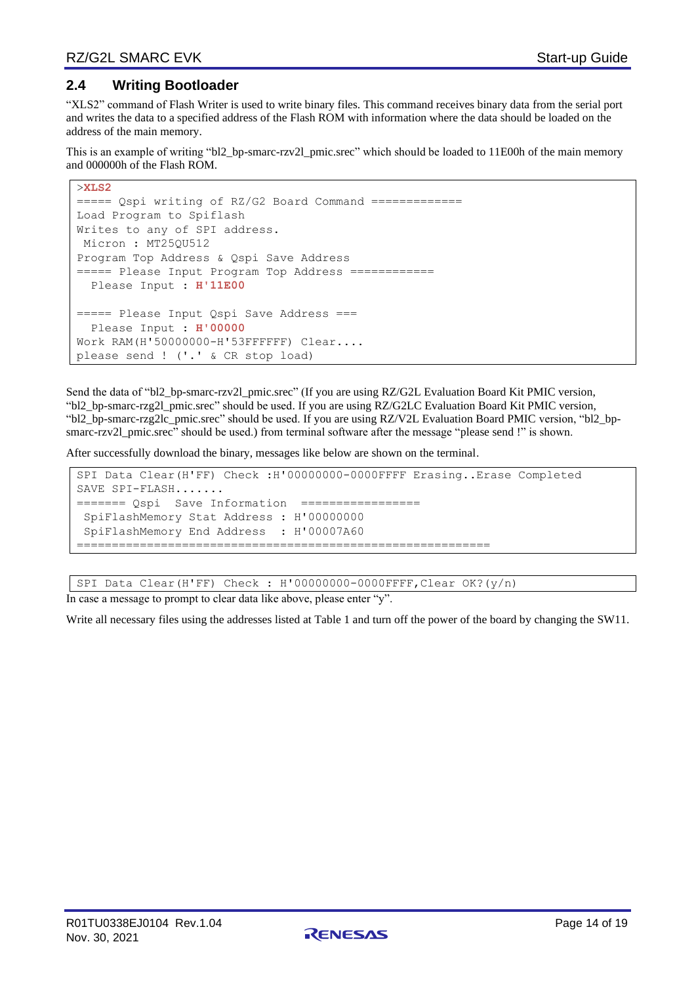### <span id="page-13-0"></span>**2.4 Writing Bootloader**

"XLS2" command of Flash Writer is used to write binary files. This command receives binary data from the serial port and writes the data to a specified address of the Flash ROM with information where the data should be loaded on the address of the main memory.

This is an example of writing "bl2\_bp-smarc-rzv2l\_pmic.srec" which should be loaded to 11E00h of the main memory and 000000h of the Flash ROM.

```
>XLS2
====== Qspi writing of RZ/G2 Board Command =============
Load Program to Spiflash
Writes to any of SPI address.
Micron : MT25QU512
Program Top Address & Qspi Save Address
====== Please Input Program Top Address ============
  Please Input : H'11E00
===== Please Input Qspi Save Address ===
  Please Input : H'00000
Work RAM(H'50000000-H'53FFFFFF) Clear....
please send ! ('.' & CR stop load)
```
Send the data of "bl2\_bp-smarc-rzv2l\_pmic.srec" (If you are using RZ/G2L Evaluation Board Kit PMIC version, "bl2\_bp-smarc-rzg2l\_pmic.srec" should be used. If you are using RZ/G2LC Evaluation Board Kit PMIC version, "bl2\_bp-smarc-rzg2lc\_pmic.srec" should be used. If you are using RZ/V2L Evaluation Board PMIC version, "bl2\_bpsmarc-rzv2l pmic.srec" should be used.) from terminal software after the message "please send !" is shown.

After successfully download the binary, messages like below are shown on the terminal.

```
SPI Data Clear(H'FF) Check :H'00000000-0000FFFF Erasing..Erase Completed
SAVE SPI-FLASH.......
======= Qspi Save Information =================
SpiFlashMemory Stat Address : H'00000000
SpiFlashMemory End Address : H'00007A60
===========================================================
```
SPI Data Clear(H'FF) Check : H'00000000-0000FFFF,Clear OK?(y/n)

In case a message to prompt to clear data like above, please enter "y".

Write all necessary files using the addresses listed at Table 1 and turn off the power of the board by changing the SW11.

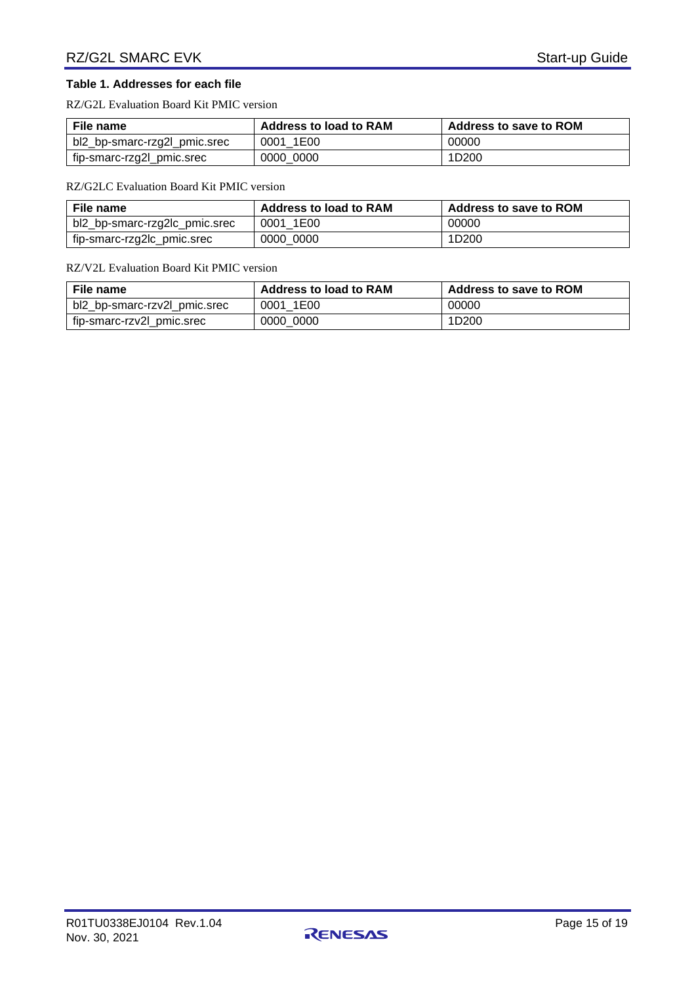#### **Table 1. Addresses for each file**

RZ/G2L Evaluation Board Kit PMIC version

| File name                    | <b>Address to load to RAM</b> | <b>Address to save to ROM</b> |  |
|------------------------------|-------------------------------|-------------------------------|--|
| bl2_bp-smarc-rzg2l_pmic.srec | 0001 1E00                     | 00000                         |  |
| fip-smarc-rzg2l_pmic.srec    | 0000 0000                     | 1D <sub>200</sub>             |  |

RZ/G2LC Evaluation Board Kit PMIC version

| File name                     | <b>Address to load to RAM</b> | <b>Address to save to ROM</b> |  |
|-------------------------------|-------------------------------|-------------------------------|--|
| bl2_bp-smarc-rzg2lc_pmic.srec | 0001 1E00                     | 00000                         |  |
| fip-smarc-rzg2lc_pmic.srec    | 0000 0000                     | 1D <sub>200</sub>             |  |

#### RZ/V2L Evaluation Board Kit PMIC version

| File name                    | <b>Address to load to RAM</b> | <b>Address to save to ROM</b> |  |
|------------------------------|-------------------------------|-------------------------------|--|
| bl2_bp-smarc-rzv2l_pmic.srec | 0001 1E00                     | 00000                         |  |
| fip-smarc-rzv2l_pmic.srec    | 0000 0000                     | 1D <sub>200</sub>             |  |

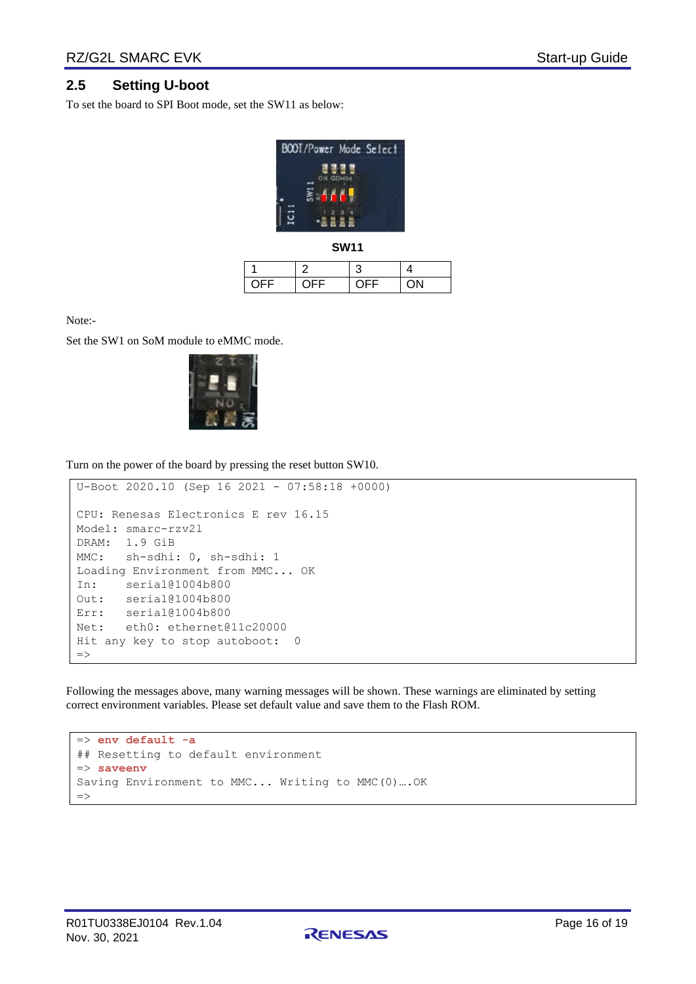### <span id="page-15-0"></span>**2.5 Setting U-boot**

To set the board to SPI Boot mode, set the SW11 as below:



**SW11**

| OFF. | <b>OFF</b> | ∩⊏⊏ | $(1)$ N $($ |
|------|------------|-----|-------------|

Note:-

Set the SW1 on SoM module to eMMC mode.



Turn on the power of the board by pressing the reset button SW10.

```
U-Boot 2020.10 (Sep 16 2021 - 07:58:18 +0000)
CPU: Renesas Electronics E rev 16.15
Model: smarc-rzv2l
DRAM: 1.9 GiB
MMC: sh-sdhi: 0, sh-sdhi: 1
Loading Environment from MMC... OK
In: serial@1004b800
Out: serial@1004b800
Err: serial@1004b800
Net: eth0: ethernet@11c20000
Hit any key to stop autoboot: 0
\Rightarrow
```
Following the messages above, many warning messages will be shown. These warnings are eliminated by setting correct environment variables. Please set default value and save them to the Flash ROM.

```
=> env default -a
## Resetting to default environment
=> saveenv
Saving Environment to MMC... Writing to MMC(0)….OK
=>
```
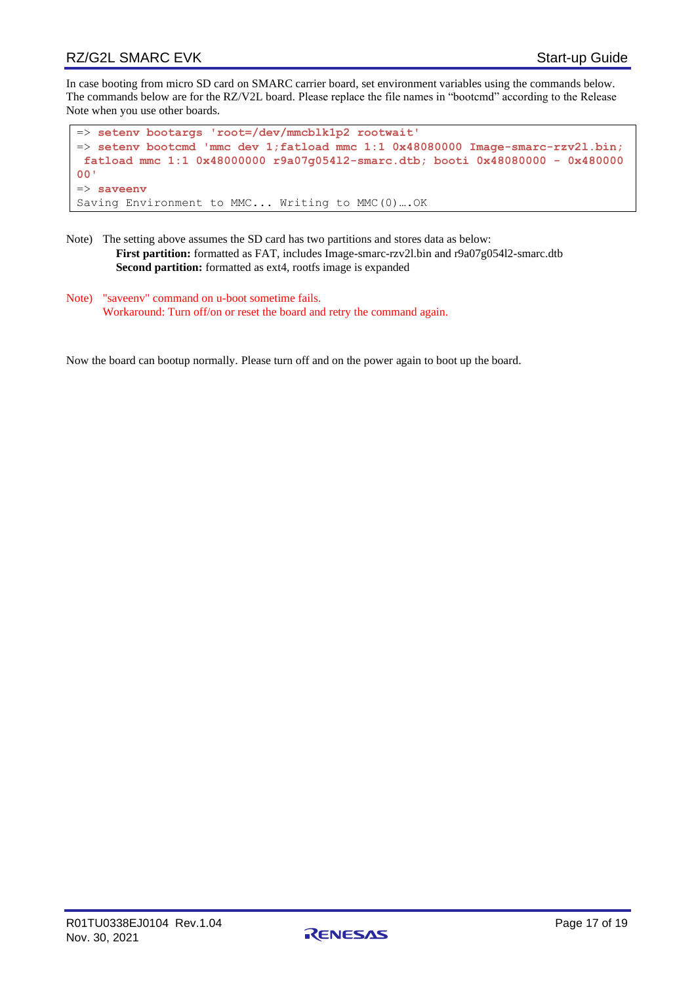### RZ/G2L SMARC EVK Start-up Guide

In case booting from micro SD card on SMARC carrier board, set environment variables using the commands below. The commands below are for the RZ/V2L board. Please replace the file names in "bootcmd" according to the Release Note when you use other boards.

```
=> setenv bootargs 'root=/dev/mmcblk1p2 rootwait'
=> setenv bootcmd 'mmc dev 1;fatload mmc 1:1 0x48080000 Image-smarc-rzv2l.bin;
fatload mmc 1:1 0x48000000 r9a07g054l2-smarc.dtb; booti 0x48080000 - 0x480000
00'
=> saveenv
Saving Environment to MMC... Writing to MMC(0)….OK
```
- Note) The setting above assumes the SD card has two partitions and stores data as below: **First partition:** formatted as FAT, includes Image-smarc-rzv2l.bin and r9a07g054l2-smarc.dtb **Second partition:** formatted as ext4, rootfs image is expanded
- Note) "saveenv" command on u-boot sometime fails. Workaround: Turn off/on or reset the board and retry the command again.

Now the board can bootup normally. Please turn off and on the power again to boot up the board.

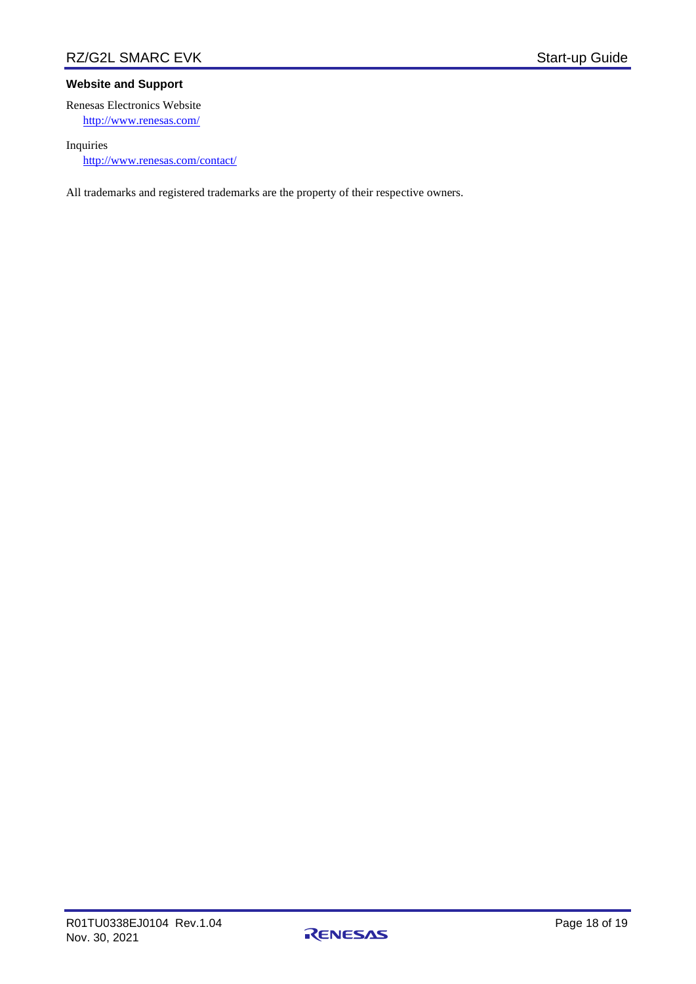#### **Website and Support**

Renesas Electronics Website <http://www.renesas.com/>

#### Inquiries

<http://www.renesas.com/contact/>

All trademarks and registered trademarks are the property of their respective owners.